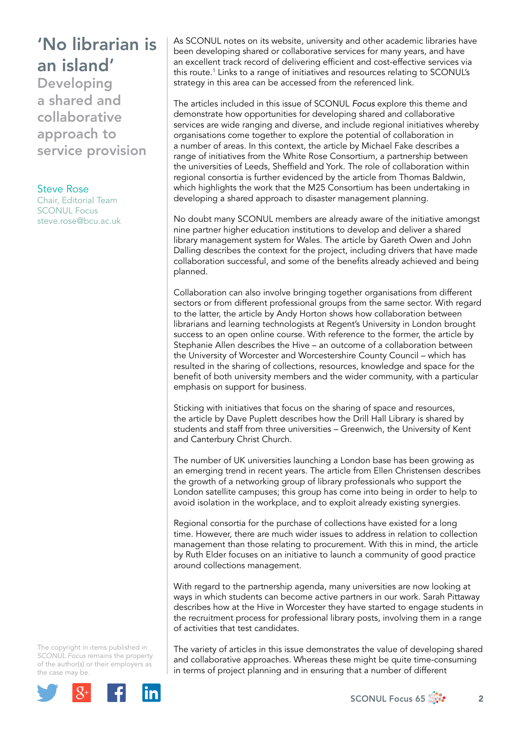## 'No librarian is an island'

Developing a shared and collaborative approach to service provision

## Steve Rose

Chair, Editorial Team SCONUL Focus [steve.rose@bcu.ac.uk](mailto:steve.rose@bcu.ac.uk) As SCONUL notes on its website, university and other academic libraries have been developing shared or collaborative services for many years, and have an excellent track record of delivering efficient and cost-effective services via this route.1 Links to a range of initiatives and resources relating to SCONUL's strategy in this area can be accessed from the referenced link.

The articles included in this issue of SCONUL *Focus* explore this theme and demonstrate how opportunities for developing shared and collaborative services are wide ranging and diverse, and include regional initiatives whereby organisations come together to explore the potential of collaboration in a number of areas. In this context, the article by Michael Fake describes a range of initiatives from the White Rose Consortium, a partnership between the universities of Leeds, Sheffield and York. The role of collaboration within regional consortia is further evidenced by the article from Thomas Baldwin, which highlights the work that the M25 Consortium has been undertaking in developing a shared approach to disaster management planning.

No doubt many SCONUL members are already aware of the initiative amongst nine partner higher education institutions to develop and deliver a shared library management system for Wales. The article by Gareth Owen and John Dalling describes the context for the project, including drivers that have made collaboration successful, and some of the benefits already achieved and being planned.

Collaboration can also involve bringing together organisations from different sectors or from different professional groups from the same sector. With regard to the latter, the article by Andy Horton shows how collaboration between librarians and learning technologists at Regent's University in London brought success to an open online course. With reference to the former, the article by Stephanie Allen describes the Hive – an outcome of a collaboration between the University of Worcester and Worcestershire County Council – which has resulted in the sharing of collections, resources, knowledge and space for the benefit of both university members and the wider community, with a particular emphasis on support for business.

Sticking with initiatives that focus on the sharing of space and resources, the article by Dave Puplett describes how the Drill Hall Library is shared by students and staff from three universities – Greenwich, the University of Kent and Canterbury Christ Church.

The number of UK universities launching a London base has been growing as an emerging trend in recent years. The article from Ellen Christensen describes the growth of a networking group of library professionals who support the London satellite campuses; this group has come into being in order to help to avoid isolation in the workplace, and to exploit already existing synergies.

Regional consortia for the purchase of collections have existed for a long time. However, there are much wider issues to address in relation to collection management than those relating to procurement. With this in mind, the article by Ruth Elder focuses on an initiative to launch a community of good practice around collections management.

With regard to the partnership agenda, many universities are now looking at ways in which students can become active partners in our work. Sarah Pittaway describes how at the Hive in Worcester they have started to engage students in the recruitment process for professional library posts, involving them in a range of activities that test candidates.

The copyright in items published in *SCONUL Focus* remains the property of the author(s) or their employers as the case may be.



The variety of articles in this issue demonstrates the value of developing shared and collaborative approaches. Whereas these might be quite time-consuming in terms of project planning and in ensuring that a number of different